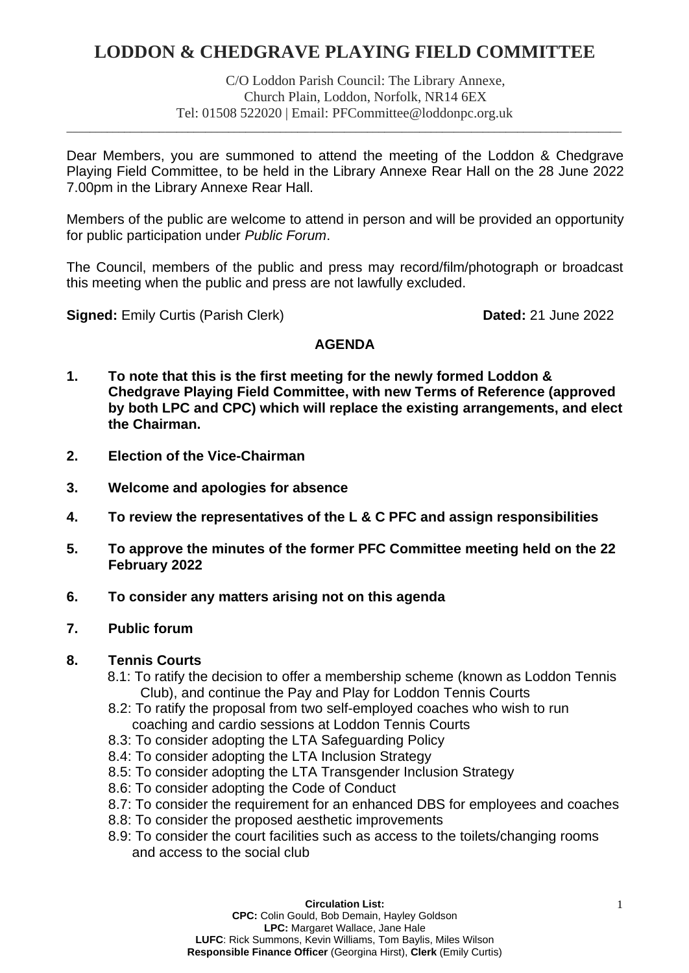# **LODDON & CHEDGRAVE PLAYING FIELD COMMITTEE**

C/O Loddon Parish Council: The Library Annexe, Church Plain, Loddon, Norfolk, NR14 6EX Tel: 01508 522020 | Email: PFCommittee@loddonpc.org.uk

\_\_\_\_\_\_\_\_\_\_\_\_\_\_\_\_\_\_\_\_\_\_\_\_\_\_\_\_\_\_\_\_\_\_\_\_\_\_\_\_\_\_\_\_\_\_\_\_\_\_\_\_\_\_\_\_\_\_\_\_\_\_\_\_\_\_\_\_\_\_\_\_\_\_\_\_\_\_\_\_\_\_\_\_\_\_\_\_\_\_\_\_\_\_\_\_

Dear Members, you are summoned to attend the meeting of the Loddon & Chedgrave Playing Field Committee, to be held in the Library Annexe Rear Hall on the 28 June 2022 7.00pm in the Library Annexe Rear Hall.

Members of the public are welcome to attend in person and will be provided an opportunity for public participation under *Public Forum*.

The Council, members of the public and press may record/film/photograph or broadcast this meeting when the public and press are not lawfully excluded.

**Signed:** Emily Curtis (Parish Clerk) **Dated:** 21 June 2022

## **AGENDA**

- **1. To note that this is the first meeting for the newly formed Loddon & Chedgrave Playing Field Committee, with new Terms of Reference (approved by both LPC and CPC) which will replace the existing arrangements, and elect the Chairman.**
- **2. Election of the Vice-Chairman**
- **3. Welcome and apologies for absence**
- **4. To review the representatives of the L & C PFC and assign responsibilities**
- **5. To approve the minutes of the former PFC Committee meeting held on the 22 February 2022**
- **6. To consider any matters arising not on this agenda**

# **7. Public forum**

## **8. Tennis Courts**

- 8.1: To ratify the decision to offer a membership scheme (known as Loddon Tennis Club), and continue the Pay and Play for Loddon Tennis Courts
- 8.2: To ratify the proposal from two self-employed coaches who wish to run coaching and cardio sessions at Loddon Tennis Courts
- 8.3: To consider adopting the LTA Safeguarding Policy
- 8.4: To consider adopting the LTA Inclusion Strategy
- 8.5: To consider adopting the LTA Transgender Inclusion Strategy
- 8.6: To consider adopting the Code of Conduct
- 8.7: To consider the requirement for an enhanced DBS for employees and coaches
- 8.8: To consider the proposed aesthetic improvements
- 8.9: To consider the court facilities such as access to the toilets/changing rooms and access to the social club